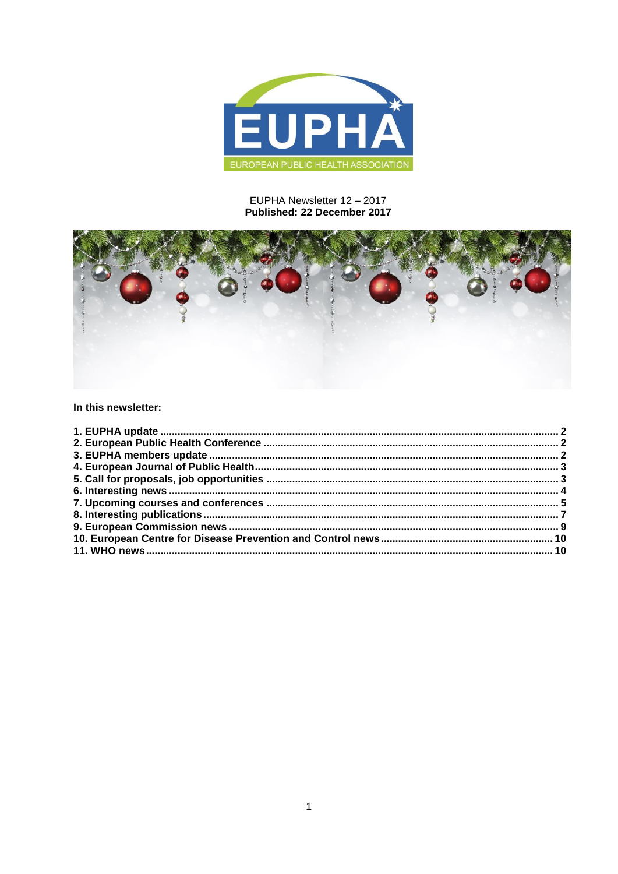

## EUPHA Newsletter 12 - 2017 Published: 22 December 2017



In this newsletter:

<span id="page-0-0"></span>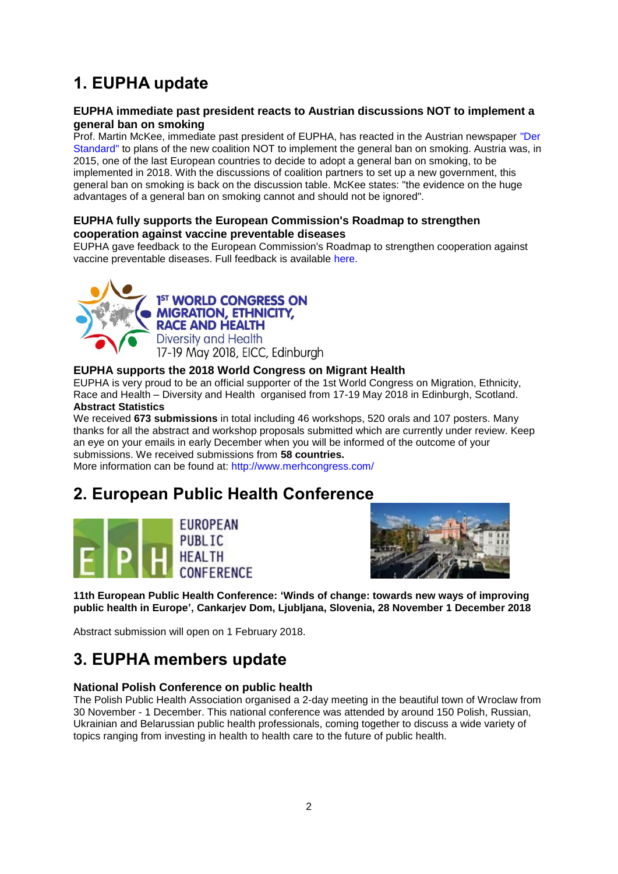# **1. EUPHA update**

## **EUPHA immediate past president reacts to Austrian discussions NOT to implement a general ban on smoking**

Prof. Martin McKee, immediate past president of EUPHA, has reacted in the Austrian newspaper ["Der](http://derstandard.at/2000068904496/Oesterreicher-das-Rauchverbot-ist-gut-fuer-Sie)  [Standard"](http://derstandard.at/2000068904496/Oesterreicher-das-Rauchverbot-ist-gut-fuer-Sie) to plans of the new coalition NOT to implement the general ban on smoking. Austria was, in 2015, one of the last European countries to decide to adopt a general ban on smoking, to be implemented in 2018. With the discussions of coalition partners to set up a new government, this general ban on smoking is back on the discussion table. McKee states: "the evidence on the huge advantages of a general ban on smoking cannot and should not be ignored".

## **EUPHA fully supports the European Commission's Roadmap to strengthen cooperation against vaccine preventable diseases**

EUPHA gave feedback to the European Commission's Roadmap to strengthen cooperation against vaccine preventable diseases. Full feedback is available [here.](http://euphapedia.eupha.org/newsletter/https:/eupha.org/repository/advocacy/EUPHA_DG_Sante_Roadmap_to_strengthen_cooperation_against_vaccine_preventable_diseases.pdf)



1<sup>ST</sup> WORLD CONGRESS ON **MIGRATION, ETHNICITY, RACE AND HEALTH** Diversity and Health 17-19 May 2018, EICC, Edinburgh

## **EUPHA supports the 2018 World Congress on Migrant Health**

EUPHA is very proud to be an official supporter of the 1st World Congress on Migration, Ethnicity, Race and Health – Diversity and Health organised from 17-19 May 2018 in Edinburgh, Scotland. **Abstract Statistics**

We received **673 submissions** in total including 46 workshops, 520 orals and 107 posters. Many thanks for all the abstract and workshop proposals submitted which are currently under review. Keep an eye on your emails in early December when you will be informed of the outcome of your submissions. We received submissions from **58 countries.**

More information can be found at:<http://www.merhcongress.com/>

# <span id="page-1-0"></span>**2. European Public Health Conference**





**11th European Public Health Conference: 'Winds of change: towards new ways of improving public health in Europe', Cankarjev Dom, Ljubljana, Slovenia, 28 November 1 December 2018**

Abstract submission will open on 1 February 2018.

# <span id="page-1-1"></span>**3. EUPHA members update**

### **National Polish Conference on public health**

The Polish Public Health Association organised a 2-day meeting in the beautiful town of Wroclaw from 30 November - 1 December. This national conference was attended by around 150 Polish, Russian, Ukrainian and Belarussian public health professionals, coming together to discuss a wide variety of topics ranging from investing in health to health care to the future of public health.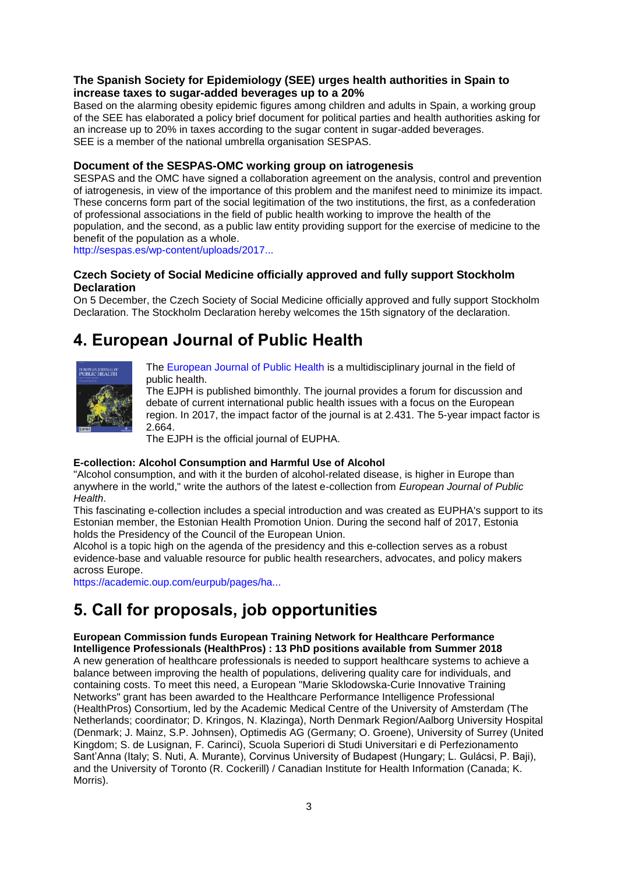## **The Spanish Society for Epidemiology (SEE) urges health authorities in Spain to increase taxes to sugar-added beverages up to a 20%**

Based on the alarming obesity epidemic figures among children and adults in Spain, a working group of the SEE has elaborated a policy brief document for political parties and health authorities asking for an increase up to 20% in taxes according to the sugar content in sugar-added beverages. SEE is a member of the national umbrella organisation SESPAS.

## **Document of the SESPAS-OMC working group on iatrogenesis**

SESPAS and the OMC have signed a collaboration agreement on the analysis, control and prevention of iatrogenesis, in view of the importance of this problem and the manifest need to minimize its impact. These concerns form part of the social legitimation of the two institutions, the first, as a confederation of professional associations in the field of public health working to improve the health of the population, and the second, as a public law entity providing support for the exercise of medicine to the benefit of the population as a whole.

[http://sespas.es/wp-content/uploads/2017...](http://sespas.es/wp-content/uploads/2017/09/English-IATROGENIA-DOCUMENTO-SESPAS-OMC-JUNIO-2017.pdf)

## **Czech Society of Social Medicine officially approved and fully support Stockholm Declaration**

On 5 December, the Czech Society of Social Medicine officially approved and fully support Stockholm Declaration. The Stockholm Declaration hereby welcomes the 15th signatory of the declaration.

# <span id="page-2-0"></span>**4. European Journal of Public Health**



[The European Journal of Public Health](http://eurpub.oxfordjournals.org/) is a multidisciplinary journal in the field of public health.

The EJPH is published bimonthly. The journal provides a forum for discussion and debate of current international public health issues with a focus on the European region. In 2017, the impact factor of the journal is at 2.431. The 5-year impact factor is 2.664.

The EJPH is the official journal of EUPHA.

#### **E-collection: Alcohol Consumption and Harmful Use of Alcohol**

"Alcohol consumption, and with it the burden of alcohol-related disease, is higher in Europe than anywhere in the world," write the authors of the latest e-collection from *European Journal of Public Health*.

This fascinating e-collection includes a special introduction and was created as EUPHA's support to its Estonian member, the Estonian Health Promotion Union. During the second half of 2017, Estonia holds the Presidency of the Council of the European Union.

Alcohol is a topic high on the agenda of the presidency and this e-collection serves as a robust evidence-base and valuable resource for public health researchers, advocates, and policy makers across Europe.

[https://academic.oup.com/eurpub/pages/ha...](https://academic.oup.com/eurpub/pages/harmful_use_of_alcohol)

# <span id="page-2-1"></span>**5. Call for proposals, job opportunities**

#### **European Commission funds European Training Network for Healthcare Performance Intelligence Professionals (HealthPros) : 13 PhD positions available from Summer 2018**

A new generation of healthcare professionals is needed to support healthcare systems to achieve a balance between improving the health of populations, delivering quality care for individuals, and containing costs. To meet this need, a European "Marie Sklodowska-Curie Innovative Training Networks" grant has been awarded to the Healthcare Performance Intelligence Professional (HealthPros) Consortium, led by the Academic Medical Centre of the University of Amsterdam (The Netherlands; coordinator; D. Kringos, N. Klazinga), North Denmark Region/Aalborg University Hospital (Denmark; J. Mainz, S.P. Johnsen), Optimedis AG (Germany; O. Groene), University of Surrey (United Kingdom; S. de Lusignan, F. Carinci), Scuola Superiori di Studi Universitari e di Perfezionamento Sant'Anna (Italy; S. Nuti, A. Murante), Corvinus University of Budapest (Hungary; L. Gulácsi, P. Baji), and the University of Toronto (R. Cockerill) / Canadian Institute for Health Information (Canada; K. Morris).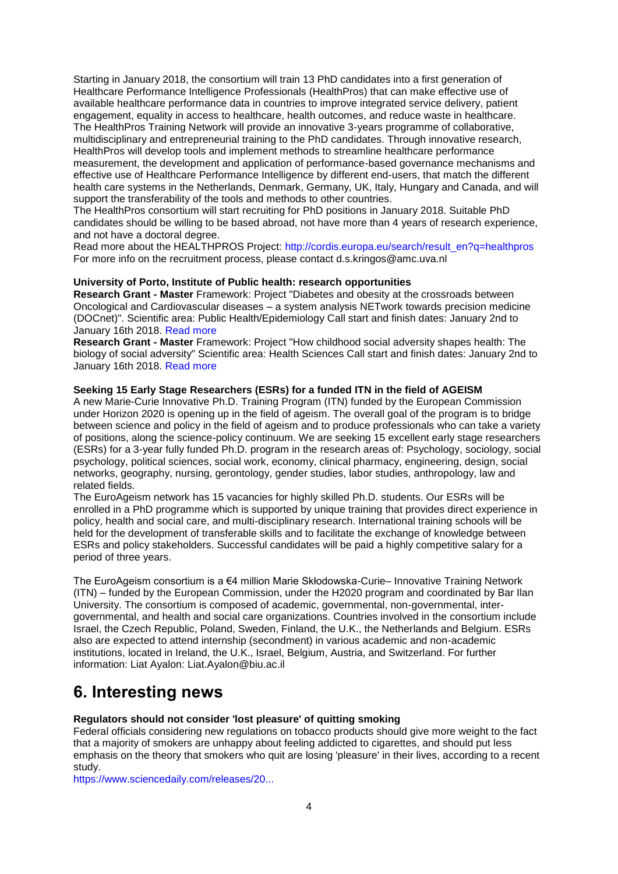Starting in January 2018, the consortium will train 13 PhD candidates into a first generation of Healthcare Performance Intelligence Professionals (HealthPros) that can make effective use of available healthcare performance data in countries to improve integrated service delivery, patient engagement, equality in access to healthcare, health outcomes, and reduce waste in healthcare. The HealthPros Training Network will provide an innovative 3-years programme of collaborative, multidisciplinary and entrepreneurial training to the PhD candidates. Through innovative research, HealthPros will develop tools and implement methods to streamline healthcare performance measurement, the development and application of performance-based governance mechanisms and effective use of Healthcare Performance Intelligence by different end-users, that match the different health care systems in the Netherlands, Denmark, Germany, UK, Italy, Hungary and Canada, and will support the transferability of the tools and methods to other countries.

The HealthPros consortium will start recruiting for PhD positions in January 2018. Suitable PhD candidates should be willing to be based abroad, not have more than 4 years of research experience, and not have a doctoral degree.

Read more about the HEALTHPROS Project: [http://cordis.europa.eu/search/result\\_en?q=healthpros](http://cordis.europa.eu/search/result_en?q=healthpros)  For more info on the recruitment process, please contact d.s.kringos@amc.uva.nl

#### **University of Porto, Institute of Public health: research opportunities**

**Research Grant - Master** Framework: Project "Diabetes and obesity at the crossroads between Oncological and Cardiovascular diseases – a system analysis NETwork towards precision medicine (DOCnet)". Scientific area: Public Health/Epidemiology Call start and finish dates: January 2nd to January 16th 2018. [Read more](http://ispup.mkt.up.pt/go/c52-2-fde846ad4912484925f2c-5bb3bba528d26e7137-4-3b8e4eXhGeanNbe1De1ax5k)

**Research Grant - Master** Framework: Project "How childhood social adversity shapes health: The biology of social adversity" Scientific area: Health Sciences Call start and finish dates: January 2nd to January 16th 2018. [Read more](http://ispup.mkt.up.pt/go/c52-2-fde846ad4912484925f2c-5bb3bba528d26e7137-4-3b8e4eXhGeanNbe1De18tU3)

#### **Seeking 15 Early Stage Researchers (ESRs) for a funded ITN in the field of AGEISM**

A new Marie-Curie Innovative Ph.D. Training Program (ITN) funded by the European Commission under Horizon 2020 is opening up in the field of ageism. The overall goal of the program is to bridge between science and policy in the field of ageism and to produce professionals who can take a variety of positions, along the science-policy continuum. We are seeking 15 excellent early stage researchers (ESRs) for a 3-year fully funded Ph.D. program in the research areas of: Psychology, sociology, social psychology, political sciences, social work, economy, clinical pharmacy, engineering, design, social networks, geography, nursing, gerontology, gender studies, labor studies, anthropology, law and related fields.

The EuroAgeism network has 15 vacancies for highly skilled Ph.D. students. Our ESRs will be enrolled in a PhD programme which is supported by unique training that provides direct experience in policy, health and social care, and multi-disciplinary research. International training schools will be held for the development of transferable skills and to facilitate the exchange of knowledge between ESRs and policy stakeholders. Successful candidates will be paid a highly competitive salary for a period of three years.

The EuroAgeism consortium is a €4 million Marie Skłodowska-Curie– Innovative Training Network (ITN) – funded by the European Commission, under the H2020 program and coordinated by Bar Ilan University. The consortium is composed of academic, governmental, non-governmental, intergovernmental, and health and social care organizations. Countries involved in the consortium include Israel, the Czech Republic, Poland, Sweden, Finland, the U.K., the Netherlands and Belgium. ESRs also are expected to attend internship (secondment) in various academic and non-academic institutions, located in Ireland, the U.K., Israel, Belgium, Austria, and Switzerland. For further information: Liat Ayalon: Liat.Ayalon@biu.ac.il

## <span id="page-3-0"></span>**6. Interesting news**

#### **Regulators should not consider 'lost pleasure' of quitting smoking**

Federal officials considering new regulations on tobacco products should give more weight to the fact that a majority of smokers are unhappy about feeling addicted to cigarettes, and should put less emphasis on the theory that smokers who quit are losing 'pleasure' in their lives, according to a recent study.

[https://www.sciencedaily.com/releases/20...](https://www.sciencedaily.com/releases/2017/11/171128160437.htm?utm_source=feedburner&utm_medium=email&utm_campaign=Feed%3A+sciencedaily%2Fscience_society%2Fpublic_health+%28Public+Health+News+--+Scien)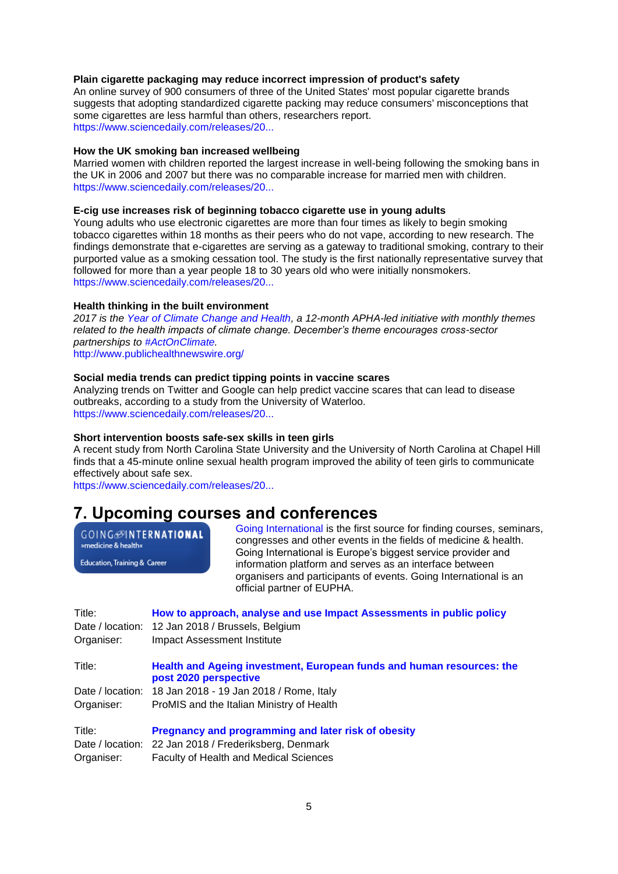#### **Plain cigarette packaging may reduce incorrect impression of product's safety**

An online survey of 900 consumers of three of the United States' most popular cigarette brands suggests that adopting standardized cigarette packing may reduce consumers' misconceptions that some cigarettes are less harmful than others, researchers report. [https://www.sciencedaily.com/releases/20...](https://www.sciencedaily.com/releases/2017/12/171218165433.htm?utm_source=feedburner&utm_medium=email&utm_campaign=Feed%3A+sciencedaily%2Fscience_society%2Fpublic_health+%28Public+Health+News+--+Scien)

#### **How the UK smoking ban increased wellbeing**

Married women with children reported the largest increase in well-being following the smoking bans in the UK in 2006 and 2007 but there was no comparable increase for married men with children. [https://www.sciencedaily.com/releases/20...](https://www.sciencedaily.com/releases/2017/12/171204105314.htm?utm_source=feedburner&utm_medium=email&utm_campaign=Feed%3A+sciencedaily%2Fscience_society%2Fpublic_health+%28Public+Health+News+--+Scien)

#### **E-cig use increases risk of beginning tobacco cigarette use in young adults**

Young adults who use electronic cigarettes are more than four times as likely to begin smoking tobacco cigarettes within 18 months as their peers who do not vape, according to new research. The findings demonstrate that e-cigarettes are serving as a gateway to traditional smoking, contrary to their purported value as a smoking cessation tool. The study is the first nationally representative survey that followed for more than a year people 18 to 30 years old who were initially nonsmokers. [https://www.sciencedaily.com/releases/20...](https://www.sciencedaily.com/releases/2017/12/171211090733.htm?utm_source=feedburner&utm_medium=email&utm_campaign=Feed%3A+sciencedaily%2Fscience_society%2Fpublic_health+%28Public+Health+News+--+Scien)

#### **Health thinking in the built environment**

*2017 is the [Year of Climate Change and Health,](https://www.apha.org/topics-and-issues/climate-change) a 12-month APHA-led initiative with monthly themes related to the health impacts of climate change. December's theme encourages cross-sector partnerships to [#ActOnClimate.](http://euphapedia.eupha.org/newsletter/https:/www.apha.org/topics-and-issues/climate-change/act-on-climate)* 

[http://www.publichealthnewswire.org/](http://www.publichealthnewswire.org/?p=19389)

#### **Social media trends can predict tipping points in vaccine scares**

Analyzing trends on Twitter and Google can help predict vaccine scares that can lead to disease outbreaks, according to a study from the University of Waterloo. [https://www.sciencedaily.com/releases/20...](https://www.sciencedaily.com/releases/2017/12/171211152819.htm?utm_source=feedburner&utm_medium=email&utm_campaign=Feed%3A+sciencedaily%2Fscience_society%2Fpublic_health+%28Public+Health+News+--+Scien)

#### **Short intervention boosts safe-sex skills in teen girls**

A recent study from North Carolina State University and the University of North Carolina at Chapel Hill finds that a 45-minute online sexual health program improved the ability of teen girls to communicate effectively about safe sex.

[https://www.sciencedaily.com/releases/20...](https://www.sciencedaily.com/releases/2017/12/171206122446.htm?utm_source=feedburner&utm_medium=email&utm_campaign=Feed%3A+sciencedaily%2Fscience_society%2Fpublic_health+%28Public+Health+News+--+Scien)

## <span id="page-4-0"></span>**7. Upcoming courses and conferences**

**GOING**@INTERNATIONAL »medicine & health«

Education, Training & Career

[Going International](http://www.goinginternational.eu/) is the first source for finding courses, seminars, congresses and other events in the fields of medicine & health. Going International is Europe's biggest service provider and information platform and serves as an interface between organisers and participants of events. Going International is an official partner of EUPHA.

| Title:<br>Date / location:<br>Organiser: | How to approach, analyse and use Impact Assessments in public policy<br>12 Jan 2018 / Brussels, Belgium<br><b>Impact Assessment Institute</b>       |
|------------------------------------------|-----------------------------------------------------------------------------------------------------------------------------------------------------|
| Title:                                   | Health and Ageing investment, European funds and human resources: the<br>post 2020 perspective                                                      |
|                                          | Date / location: 18 Jan 2018 - 19 Jan 2018 / Rome, Italy                                                                                            |
| Organiser:                               | ProMIS and the Italian Ministry of Health                                                                                                           |
| Title:<br>Date / location:<br>Organiser: | <b>Pregnancy and programming and later risk of obesity</b><br>22 Jan 2018 / Frederiksberg, Denmark<br><b>Faculty of Health and Medical Sciences</b> |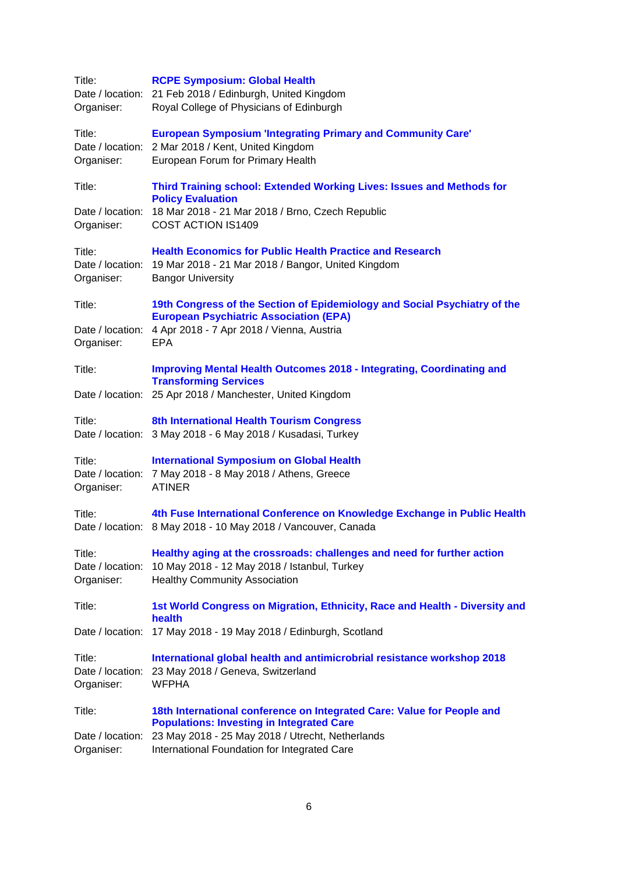| Title:<br>Organiser:                     | <b>RCPE Symposium: Global Health</b><br>Date / location: 21 Feb 2018 / Edinburgh, United Kingdom<br>Royal College of Physicians of Edinburgh                                                 |
|------------------------------------------|----------------------------------------------------------------------------------------------------------------------------------------------------------------------------------------------|
| Title:<br>Organiser:                     | <b>European Symposium 'Integrating Primary and Community Care'</b><br>Date / location: 2 Mar 2018 / Kent, United Kingdom<br>European Forum for Primary Health                                |
| Title:<br>Organiser:                     | Third Training school: Extended Working Lives: Issues and Methods for<br><b>Policy Evaluation</b><br>Date / location: 18 Mar 2018 - 21 Mar 2018 / Brno, Czech Republic<br>COST ACTION IS1409 |
| Title:<br>Date / location:<br>Organiser: | <b>Health Economics for Public Health Practice and Research</b><br>19 Mar 2018 - 21 Mar 2018 / Bangor, United Kingdom<br><b>Bangor University</b>                                            |
| Title:                                   | 19th Congress of the Section of Epidemiology and Social Psychiatry of the<br><b>European Psychiatric Association (EPA)</b>                                                                   |
| Date / location:<br>Organiser:           | 4 Apr 2018 - 7 Apr 2018 / Vienna, Austria<br><b>EPA</b>                                                                                                                                      |
| Title:                                   | <b>Improving Mental Health Outcomes 2018 - Integrating, Coordinating and</b><br><b>Transforming Services</b>                                                                                 |
| Date / location:                         | 25 Apr 2018 / Manchester, United Kingdom                                                                                                                                                     |
| Title:                                   | 8th International Health Tourism Congress<br>Date / location: 3 May 2018 - 6 May 2018 / Kusadasi, Turkey                                                                                     |
| Title:<br>Organiser:                     | <b>International Symposium on Global Health</b><br>Date / location: 7 May 2018 - 8 May 2018 / Athens, Greece<br><b>ATINER</b>                                                                |
| Title:                                   | 4th Fuse International Conference on Knowledge Exchange in Public Health<br>Date / location: 8 May 2018 - 10 May 2018 / Vancouver, Canada                                                    |
| Title:<br>Date / location:<br>Organiser: | Healthy aging at the crossroads: challenges and need for further action<br>10 May 2018 - 12 May 2018 / Istanbul, Turkey<br><b>Healthy Community Association</b>                              |
| Title:                                   | 1st World Congress on Migration, Ethnicity, Race and Health - Diversity and<br>health                                                                                                        |
| Date / location:                         | 17 May 2018 - 19 May 2018 / Edinburgh, Scotland                                                                                                                                              |
| Title:<br>Organiser:                     | International global health and antimicrobrial resistance workshop 2018<br>Date / location: 23 May 2018 / Geneva, Switzerland<br><b>WFPHA</b>                                                |
| Title:                                   | 18th International conference on Integrated Care: Value for People and<br><b>Populations: Investing in Integrated Care</b>                                                                   |
| Date / location:<br>Organiser:           | 23 May 2018 - 25 May 2018 / Utrecht, Netherlands<br>International Foundation for Integrated Care                                                                                             |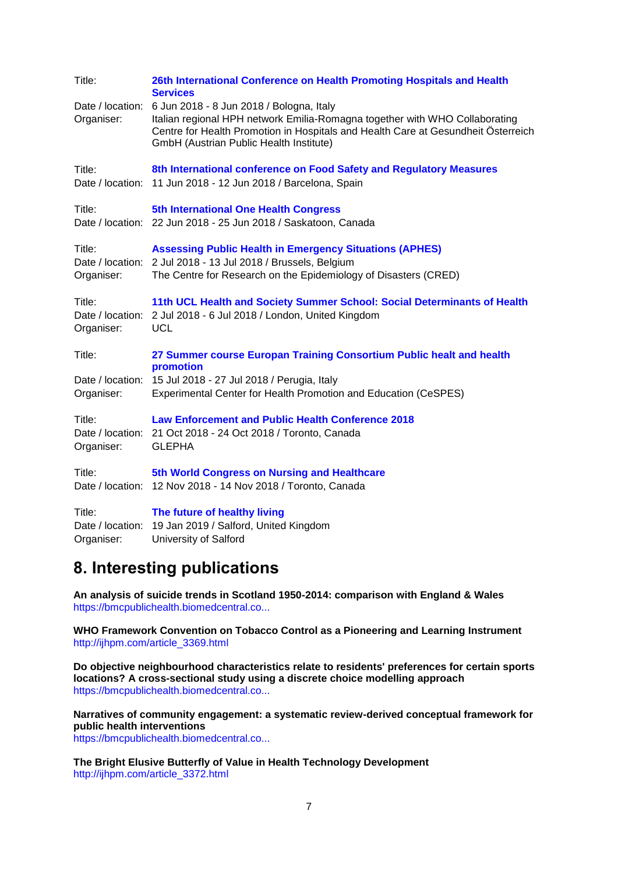| Title:                                   | 26th International Conference on Health Promoting Hospitals and Health<br><b>Services</b>                                                                                                                                                                                |
|------------------------------------------|--------------------------------------------------------------------------------------------------------------------------------------------------------------------------------------------------------------------------------------------------------------------------|
| Organiser:                               | Date / location: 6 Jun 2018 - 8 Jun 2018 / Bologna, Italy<br>Italian regional HPH network Emilia-Romagna together with WHO Collaborating<br>Centre for Health Promotion in Hospitals and Health Care at Gesundheit Österreich<br>GmbH (Austrian Public Health Institute) |
| Title:                                   | 8th International conference on Food Safety and Regulatory Measures<br>Date / location: 11 Jun 2018 - 12 Jun 2018 / Barcelona, Spain                                                                                                                                     |
| Title:                                   | 5th International One Health Congress<br>Date / location: 22 Jun 2018 - 25 Jun 2018 / Saskatoon, Canada                                                                                                                                                                  |
| Title:<br>Organiser:                     | <b>Assessing Public Health in Emergency Situations (APHES)</b><br>Date / location: 2 Jul 2018 - 13 Jul 2018 / Brussels, Belgium<br>The Centre for Research on the Epidemiology of Disasters (CRED)                                                                       |
| Title:<br>Date / location:<br>Organiser: | 11th UCL Health and Society Summer School: Social Determinants of Health<br>2 Jul 2018 - 6 Jul 2018 / London, United Kingdom<br><b>UCL</b>                                                                                                                               |
| Title:<br>Organiser:                     | 27 Summer course Europan Training Consortium Public healt and health<br>promotion<br>Date / location: 15 Jul 2018 - 27 Jul 2018 / Perugia, Italy<br>Experimental Center for Health Promotion and Education (CeSPES)                                                      |
| Title:<br>Organiser:                     | <b>Law Enforcement and Public Health Conference 2018</b><br>Date / location: 21 Oct 2018 - 24 Oct 2018 / Toronto, Canada<br><b>GLEPHA</b>                                                                                                                                |
| Title:                                   | 5th World Congress on Nursing and Healthcare<br>Date / location: 12 Nov 2018 - 14 Nov 2018 / Toronto, Canada                                                                                                                                                             |
| Title:<br>Date / location:<br>Organiser: | The future of healthy living<br>19 Jan 2019 / Salford, United Kingdom<br>University of Salford                                                                                                                                                                           |

# <span id="page-6-0"></span>**8. Interesting publications**

**An analysis of suicide trends in Scotland 1950-2014: comparison with England & Wales** [https://bmcpublichealth.biomedcentral.co...](https://bmcpublichealth.biomedcentral.com/articles/10.1186/s12889-017-4956-6)

**WHO Framework Convention on Tobacco Control as a Pioneering and Learning Instrument** [http://ijhpm.com/article\\_3369.html](http://ijhpm.com/article_3369.html)

**Do objective neighbourhood characteristics relate to residents' preferences for certain sports locations? A cross-sectional study using a discrete choice modelling approach** [https://bmcpublichealth.biomedcentral.co...](https://bmcpublichealth.biomedcentral.com/articles/10.1186/s12889-017-4949-5)

**Narratives of community engagement: a systematic review-derived conceptual framework for public health interventions** [https://bmcpublichealth.biomedcentral.co...](https://bmcpublichealth.biomedcentral.com/articles/10.1186/s12889-017-4958-4)

**The Bright Elusive Butterfly of Value in Health Technology Development** [http://ijhpm.com/article\\_3372.html](http://ijhpm.com/article_3372.html)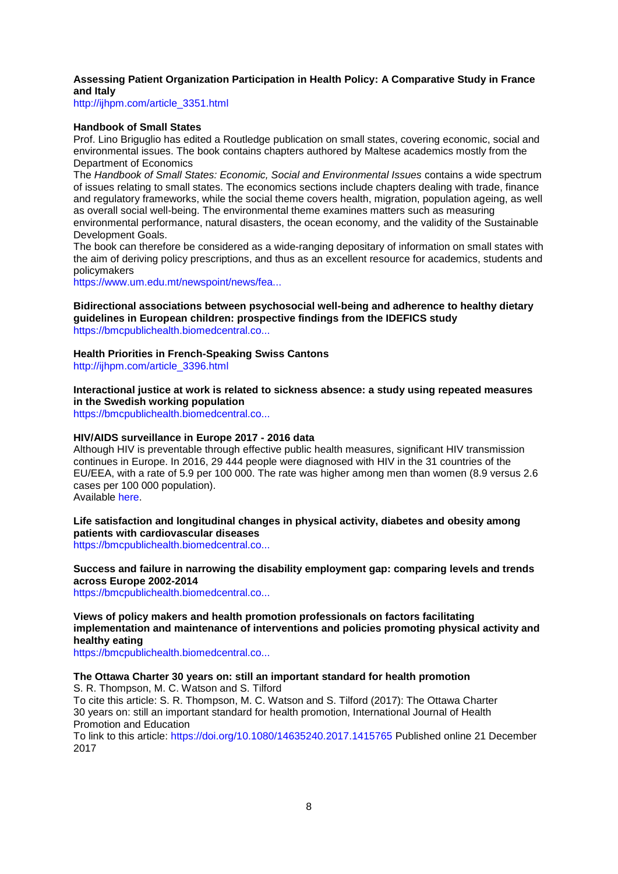#### **Assessing Patient Organization Participation in Health Policy: A Comparative Study in France and Italy**

[http://ijhpm.com/article\\_3351.html](http://ijhpm.com/article_3351.html)

#### **Handbook of Small States**

Prof. Lino Briguglio has edited a Routledge publication on small states, covering economic, social and environmental issues. The book contains chapters authored by Maltese academics mostly from the Department of Economics

The *Handbook of Small States: Economic, Social and Environmental Issues* contains a wide spectrum of issues relating to small states. The economics sections include chapters dealing with trade, finance and regulatory frameworks, while the social theme covers health, migration, population ageing, as well as overall social well-being. The environmental theme examines matters such as measuring

environmental performance, natural disasters, the ocean economy, and the validity of the Sustainable Development Goals.

The book can therefore be considered as a wide-ranging depositary of information on small states with the aim of deriving policy prescriptions, and thus as an excellent resource for academics, students and policymakers

[https://www.um.edu.mt/newspoint/news/fea...](https://www.um.edu.mt/newspoint/news/features/2017/11/handbookofsmallstates)

**Bidirectional associations between psychosocial well-being and adherence to healthy dietary guidelines in European children: prospective findings from the IDEFICS study** [https://bmcpublichealth.biomedcentral.co...](https://bmcpublichealth.biomedcentral.com/articles/10.1186/s12889-017-4920-5)

## **Health Priorities in French-Speaking Swiss Cantons**

[http://ijhpm.com/article\\_3396.html](http://ijhpm.com/article_3396.html)

**Interactional justice at work is related to sickness absence: a study using repeated measures in the Swedish working population**

[https://bmcpublichealth.biomedcentral.co...](https://bmcpublichealth.biomedcentral.com/articles/10.1186/s12889-017-4899-y)

#### **HIV/AIDS surveillance in Europe 2017 - 2016 data**

Although HIV is preventable through effective public health measures, significant HIV transmission continues in Europe. In 2016, 29 444 people were diagnosed with HIV in the 31 countries of the EU/EEA, with a rate of 5.9 per 100 000. The rate was higher among men than women (8.9 versus 2.6 cases per 100 000 population).

Available [here.](https://ecdc.europa.eu/en/publications-data/hivaids-surveillance-europe-2017-2016-data)

## **Life satisfaction and longitudinal changes in physical activity, diabetes and obesity among patients with cardiovascular diseases**

[https://bmcpublichealth.biomedcentral.co...](https://bmcpublichealth.biomedcentral.com/articles/10.1186/s12889-017-4925-0)

#### **Success and failure in narrowing the disability employment gap: comparing levels and trends across Europe 2002-2014**

[https://bmcpublichealth.biomedcentral.co...](https://bmcpublichealth.biomedcentral.com/articles/10.1186/s12889-017-4938-8)

**Views of policy makers and health promotion professionals on factors facilitating implementation and maintenance of interventions and policies promoting physical activity and healthy eating**

[https://bmcpublichealth.biomedcentral.co...](https://bmcpublichealth.biomedcentral.com/articles/10.1186/s12889-017-4929-9)

## **The Ottawa Charter 30 years on: still an important standard for health promotion**

S. R. Thompson, M. C. Watson and S. Tilford To cite this article: S. R. Thompson, M. C. Watson and S. Tilford (2017): The Ottawa Charter 30 years on: still an important standard for health promotion, International Journal of Health Promotion and Education

To link to this article:<https://doi.org/10.1080/14635240.2017.1415765> Published online 21 December 2017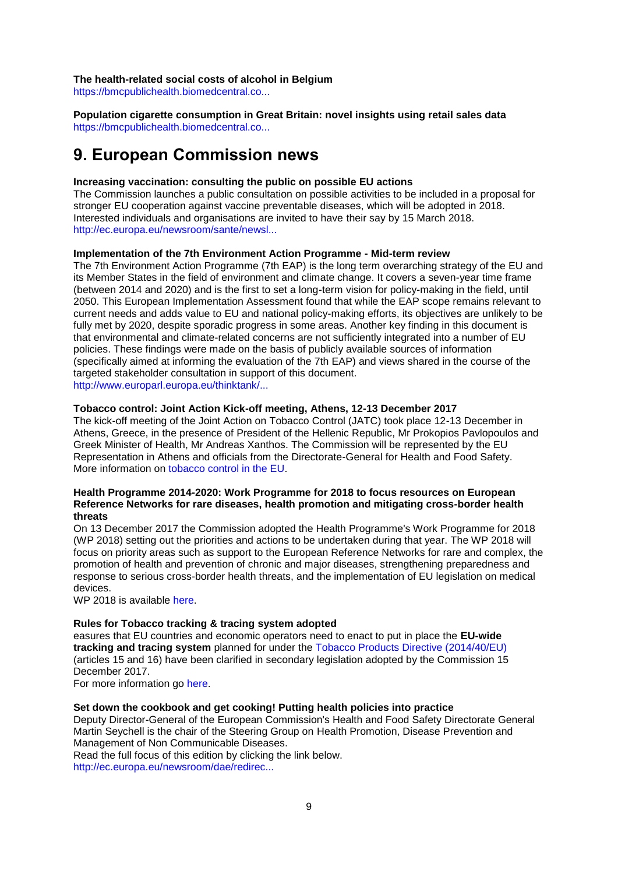#### **The health-related social costs of alcohol in Belgium**

[https://bmcpublichealth.biomedcentral.co...](https://bmcpublichealth.biomedcentral.com/articles/10.1186/s12889-017-4974-4)

**Population cigarette consumption in Great Britain: novel insights using retail sales data** [https://bmcpublichealth.biomedcentral.co...](https://bmcpublichealth.biomedcentral.com/articles/10.1186/s12889-017-4950-z)

## <span id="page-8-0"></span>**9. European Commission news**

#### **Increasing vaccination: consulting the public on possible EU actions**

The Commission launches a public consultation on possible activities to be included in a proposal for stronger EU cooperation against vaccine preventable diseases, which will be adopted in 2018. Interested individuals and organisations are invited to have their say by 15 March 2018. [http://ec.europa.eu/newsroom/sante/newsl...](http://ec.europa.eu/newsroom/sante/newsletter-specific-archive-issue.cfm?newsletter_service_id=327&newsletter_issue_id=6580&page=1&fullDate=Thu%2021%20Dec%202017&lang=default)

#### **Implementation of the 7th Environment Action Programme - Mid-term review**

The 7th Environment Action Programme (7th EAP) is the long term overarching strategy of the EU and its Member States in the field of environment and climate change. It covers a seven-year time frame (between 2014 and 2020) and is the first to set a long-term vision for policy-making in the field, until 2050. This European Implementation Assessment found that while the EAP scope remains relevant to current needs and adds value to EU and national policy-making efforts, its objectives are unlikely to be fully met by 2020, despite sporadic progress in some areas. Another key finding in this document is that environmental and climate-related concerns are not sufficiently integrated into a number of EU policies. These findings were made on the basis of publicly available sources of information (specifically aimed at informing the evaluation of the 7th EAP) and views shared in the course of the targeted stakeholder consultation in support of this document. [http://www.europarl.europa.eu/thinktank/...](http://www.europarl.europa.eu/thinktank/en/document.html?reference=EPRS_STU(2017)610998)

#### **Tobacco control: Joint Action Kick-off meeting, Athens, 12-13 December 2017**

The kick-off meeting of the Joint Action on Tobacco Control (JATC) took place 12-13 December in Athens, Greece, in the presence of President of the Hellenic Republic, Mr Prokopios Pavlopoulos and Greek Minister of Health, Mr Andreas Xanthos. The Commission will be represented by the EU Representation in Athens and officials from the Directorate-General for Health and Food Safety. More information on [tobacco control in the EU.](https://ec.europa.eu/health/tobacco/policy_en)

#### **Health Programme 2014-2020: Work Programme for 2018 to focus resources on European Reference Networks for rare diseases, health promotion and mitigating cross-border health threats**

On 13 December 2017 the Commission adopted the Health Programme's Work Programme for 2018 (WP 2018) setting out the priorities and actions to be undertaken during that year. The WP 2018 will focus on priority areas such as support to the European Reference Networks for rare and complex, the promotion of health and prevention of chronic and major diseases, strengthening preparedness and response to serious cross-border health threats, and the implementation of EU legislation on medical devices.

WP 2018 is available [here.](https://ec.europa.eu/health/programme/adoption_workplan_2018_en)

#### **Rules for Tobacco tracking & tracing system adopted**

easures that EU countries and economic operators need to enact to put in place the **EU-wide tracking and tracing system** planned for under the [Tobacco Products Directive \(2014/40/EU\)](https://ec.europa.eu/health/sites/health/files/tobacco/docs/dir_201440_en.pdf) (articles 15 and 16) have been clarified in secondary legislation adopted by the Commission 15 December 2017.

For more information go [here.](https://ec.europa.eu/health/tobacco/tracking_tracing_system_en)

#### **Set down the cookbook and get cooking! Putting health policies into practice**

Deputy Director-General of the European Commission's Health and Food Safety Directorate General Martin Seychell is the chair of the Steering Group on Health Promotion, Disease Prevention and Management of Non Communicable Diseases.

Read the full focus of this edition by clicking the link below. [http://ec.europa.eu/newsroom/dae/redirec...](http://ec.europa.eu/newsroom/dae/redirection.cfm?item_id=608625&newsletter=261&lang=en)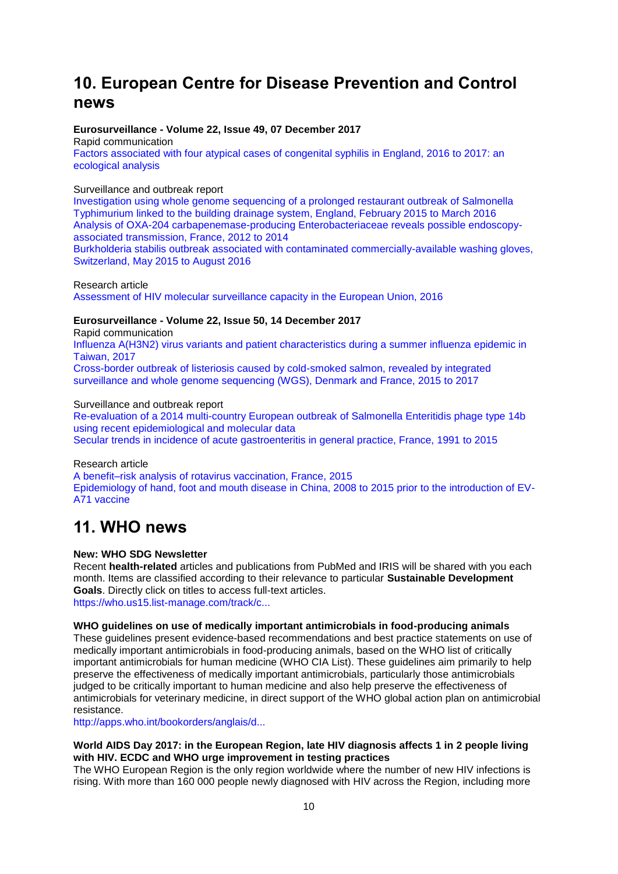# <span id="page-9-0"></span>**10. European Centre for Disease Prevention and Control news**

## **Eurosurveillance - Volume 22, Issue 49, 07 December 2017**

Rapid communication [Factors associated with four atypical cases of congenital syphilis in England, 2016 to 2017: an](http://eurosurveillance.org/content/10.2807/1560-7917.ES.2017.22.49.17-00750)  [ecological analysis](http://eurosurveillance.org/content/10.2807/1560-7917.ES.2017.22.49.17-00750) 

#### Surveillance and outbreak report

[Investigation using whole genome sequencing of a prolonged restaurant outbreak of Salmonella](http://eurosurveillance.org/content/10.2807/1560-7917.ES.2017.22.49.17-00037)  [Typhimurium linked to the building drainage system, England, February 2015 to March 2016](http://eurosurveillance.org/content/10.2807/1560-7917.ES.2017.22.49.17-00037)  [Analysis of OXA-204 carbapenemase-producing Enterobacteriaceae reveals possible endoscopy](http://eurosurveillance.org/content/10.2807/1560-7917.ES.2017.22.49.17-00048)[associated transmission, France, 2012 to 2014](http://eurosurveillance.org/content/10.2807/1560-7917.ES.2017.22.49.17-00048) 

[Burkholderia stabilis outbreak associated with contaminated commercially-available washing gloves,](http://eurosurveillance.org/content/10.2807/1560-7917.ES.2017.22.49.17-00213)  [Switzerland, May 2015 to August 2016](http://eurosurveillance.org/content/10.2807/1560-7917.ES.2017.22.49.17-00213) 

#### Research article [Assessment of HIV molecular surveillance capacity in the European Union, 2016](http://eurosurveillance.org/content/10.2807/1560-7917.ES.2017.22.49.17-00269)

### **Eurosurveillance - Volume 22, Issue 50, 14 December 2017**

Rapid communication

[Influenza A\(H3N2\) virus variants and patient characteristics during a summer influenza epidemic in](http://eurosurveillance.org/content/10.2807/1560-7917.ES.2017.22.50.17-00767)  [Taiwan, 2017](http://eurosurveillance.org/content/10.2807/1560-7917.ES.2017.22.50.17-00767) 

[Cross-border outbreak of listeriosis caused by cold-smoked salmon, revealed by integrated](http://eurosurveillance.org/content/10.2807/1560-7917.ES.2017.22.50.17-00762)  [surveillance and whole genome sequencing \(WGS\), Denmark and France, 2015 to 2017](http://eurosurveillance.org/content/10.2807/1560-7917.ES.2017.22.50.17-00762) 

#### Surveillance and outbreak report

[Re-evaluation of a 2014 multi-country European outbreak of Salmonella Enteritidis phage type 14b](http://eurosurveillance.org/content/10.2807/1560-7917.ES.2017.22.50.17-00196)  [using recent epidemiological and molecular data](http://eurosurveillance.org/content/10.2807/1560-7917.ES.2017.22.50.17-00196)  [Secular trends in incidence of acute gastroenteritis in general practice, France, 1991 to 2015](http://eurosurveillance.org/content/10.2807/1560-7917.ES.2017.22.50.17-00121) 

#### Research article

[A benefit–risk analysis of rotavirus vaccination, France, 2015](http://eurosurveillance.org/content/10.2807/1560-7917.ES.2017.22.50.17-00041)  [Epidemiology of hand, foot and mouth disease in China, 2008 to 2015 prior to the introduction of EV-](http://eurosurveillance.org/content/10.2807/1560-7917.ES.2017.22.50.16-00824)[A71 vaccine](http://eurosurveillance.org/content/10.2807/1560-7917.ES.2017.22.50.16-00824) 

## <span id="page-9-1"></span>**11. WHO news**

#### **New: WHO SDG Newsletter**

Recent **health-related** articles and publications from PubMed and IRIS will be shared with you each month. Items are classified according to their relevance to particular **Sustainable Development Goals**. Directly click on titles to access full-text articles. [https://who.us15.list-manage.com/track/c...](https://who.us15.list-manage.com/track/click?u=4bb3bb689562f6b700db2eb33&id=0520e47858&e=f82cd64247)

#### **WHO guidelines on use of medically important antimicrobials in food-producing animals**

These guidelines present evidence-based recommendations and best practice statements on use of medically important antimicrobials in food-producing animals, based on the WHO list of critically important antimicrobials for human medicine (WHO CIA List). These guidelines aim primarily to help preserve the effectiveness of medically important antimicrobials, particularly those antimicrobials judged to be critically important to human medicine and also help preserve the effectiveness of antimicrobials for veterinary medicine, in direct support of the WHO global action plan on antimicrobial resistance.

[http://apps.who.int/bookorders/anglais/d...](http://apps.who.int/bookorders/anglais/detart1.jsp?codlan=1&codcol=93&codcch=387)

#### **World AIDS Day 2017: in the European Region, late HIV diagnosis affects 1 in 2 people living with HIV. ECDC and WHO urge improvement in testing practices**

The WHO European Region is the only region worldwide where the number of new HIV infections is rising. With more than 160 000 people newly diagnosed with HIV across the Region, including more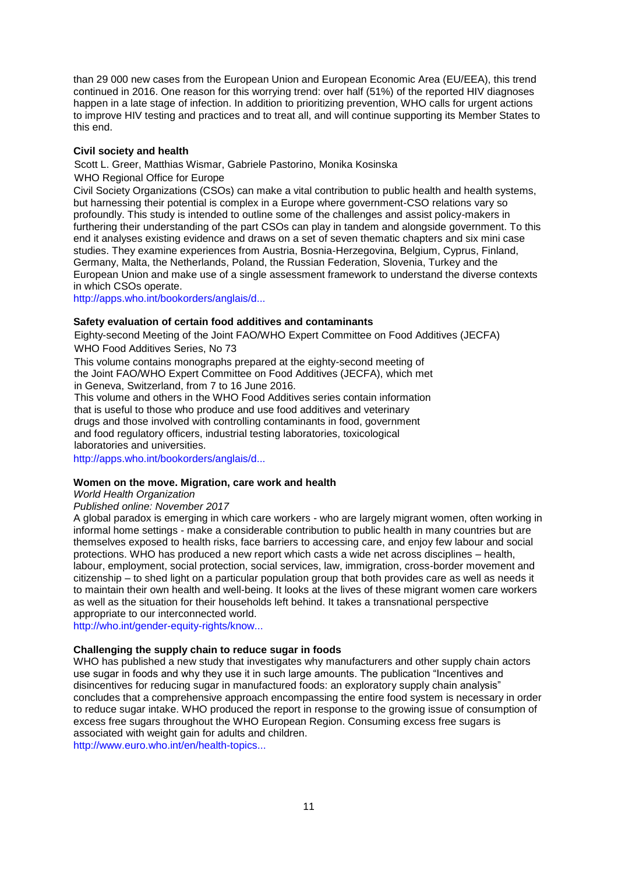than 29 000 new cases from the European Union and European Economic Area (EU/EEA), this trend continued in 2016. One reason for this worrying trend: over half (51%) of the reported HIV diagnoses happen in a late stage of infection. In addition to prioritizing prevention, WHO calls for urgent actions to improve HIV testing and practices and to treat all, and will continue supporting its Member States to this end.

#### **Civil society and health**

Scott L. Greer, Matthias Wismar, Gabriele Pastorino, Monika Kosinska

WHO Regional Office for Europe

Civil Society Organizations (CSOs) can make a vital contribution to public health and health systems, but harnessing their potential is complex in a Europe where government-CSO relations vary so profoundly. This study is intended to outline some of the challenges and assist policy-makers in furthering their understanding of the part CSOs can play in tandem and alongside government. To this end it analyses existing evidence and draws on a set of seven thematic chapters and six mini case studies. They examine experiences from Austria, Bosnia-Herzegovina, Belgium, Cyprus, Finland, Germany, Malta, the Netherlands, Poland, the Russian Federation, Slovenia, Turkey and the European Union and make use of a single assessment framework to understand the diverse contexts in which CSOs operate.

[http://apps.who.int/bookorders/anglais/d...](http://apps.who.int/bookorders/anglais/detart1.jsp?codlan=1&codcol=34&codcch=185)

#### **Safety evaluation of certain food additives and contaminants**

Eighty-second Meeting of the Joint FAO/WHO Expert Committee on Food Additives (JECFA) WHO Food Additives Series, No 73

This volume contains monographs prepared at the eighty-second meeting of the Joint FAO/WHO Expert Committee on Food Additives (JECFA), which met in Geneva, Switzerland, from 7 to 16 June 2016.

This volume and others in the WHO Food Additives series contain information that is useful to those who produce and use food additives and veterinary drugs and those involved with controlling contaminants in food, government and food regulatory officers, industrial testing laboratories, toxicological laboratories and universities.

[http://apps.who.int/bookorders/anglais/d...](http://apps.who.int/bookorders/anglais/detart1.jsp?codlan=1&codcol=27&codcch=73)

#### **Women on the move. Migration, care work and health**

*World Health Organization*

#### *Published online: November 2017*

A global paradox is emerging in which care workers - who are largely migrant women, often working in informal home settings - make a considerable contribution to public health in many countries but are themselves exposed to health risks, face barriers to accessing care, and enjoy few labour and social protections. WHO has produced a new report which casts a wide net across disciplines – health, labour, employment, social protection, social services, law, immigration, cross-border movement and citizenship – to shed light on a particular population group that both provides care as well as needs it to maintain their own health and well-being. It looks at the lives of these migrant women care workers as well as the situation for their households left behind. It takes a transnational perspective appropriate to our interconnected world.

[http://who.int/gender-equity-rights/know...](http://who.int/gender-equity-rights/knowledge/women-on-the-move/en/)

#### **Challenging the supply chain to reduce sugar in foods**

WHO has published a new study that investigates why manufacturers and other supply chain actors use sugar in foods and why they use it in such large amounts. The publication "Incentives and disincentives for reducing sugar in manufactured foods: an exploratory supply chain analysis" concludes that a comprehensive approach encompassing the entire food system is necessary in order to reduce sugar intake. WHO produced the report in response to the growing issue of consumption of excess free sugars throughout the WHO European Region. Consuming excess free sugars is associated with weight gain for adults and children.

[http://www.euro.who.int/en/health-topics...](http://www.euro.who.int/en/health-topics/disease-prevention/nutrition/news/news/2017/12/challenging-the-supply-chain-to-reduce-sugar-in-foods?utm_source=WHO%2FEurope+mailing+list&utm_campaign=a50ef59d)